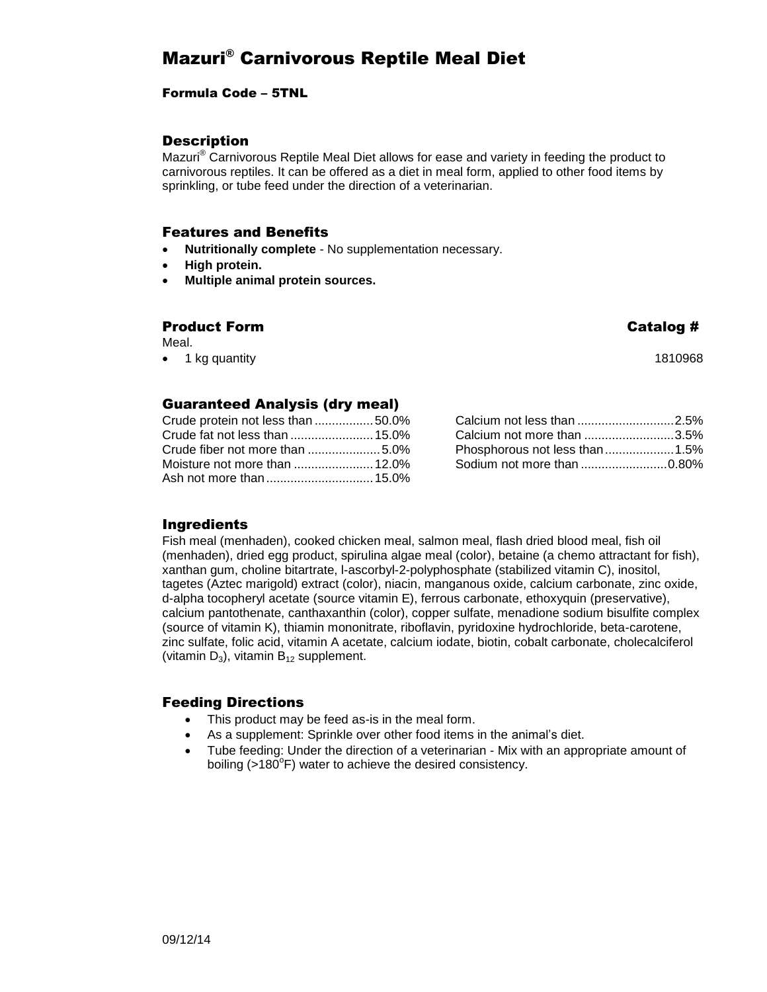# Mazuri® Carnivorous Reptile Meal Diet

#### Formula Code – 5TNL

## **Description**

Mazuri® Carnivorous Reptile Meal Diet allows for ease and variety in feeding the product to carnivorous reptiles. It can be offered as a diet in meal form, applied to other food items by sprinkling, or tube feed under the direction of a veterinarian.

#### Features and Benefits

- **Nutritionally complete** No supplementation necessary.
- **High protein.**
- **Multiple animal protein sources.**

## Product Form  $\qquad \qquad \qquad$  Product Form  $\qquad \qquad$

Meal.

• 1 kg quantity 1810968

## Guaranteed Analysis (dry meal)

| Crude protein not less than 50.0% |  |
|-----------------------------------|--|
| Crude fat not less than  15.0%    |  |
|                                   |  |
|                                   |  |
|                                   |  |

| Calcium not less than 2.5%     |  |
|--------------------------------|--|
| Calcium not more than 3.5%     |  |
| Phosphorous not less than 1.5% |  |
| Sodium not more than 0.80%     |  |

## Ingredients

Fish meal (menhaden), cooked chicken meal, salmon meal, flash dried blood meal, fish oil (menhaden), dried egg product, spirulina algae meal (color), betaine (a chemo attractant for fish), xanthan gum, choline bitartrate, l-ascorbyl-2-polyphosphate (stabilized vitamin C), inositol, tagetes (Aztec marigold) extract (color), niacin, manganous oxide, calcium carbonate, zinc oxide, d-alpha tocopheryl acetate (source vitamin E), ferrous carbonate, ethoxyquin (preservative), calcium pantothenate, canthaxanthin (color), copper sulfate, menadione sodium bisulfite complex (source of vitamin K), thiamin mononitrate, riboflavin, pyridoxine hydrochloride, beta-carotene, zinc sulfate, folic acid, vitamin A acetate, calcium iodate, biotin, cobalt carbonate, cholecalciferol (vitamin  $D_3$ ), vitamin  $B_{12}$  supplement.

#### Feeding Directions

- This product may be feed as-is in the meal form.
- As a supplement: Sprinkle over other food items in the animal's diet.
- Tube feeding: Under the direction of a veterinarian Mix with an appropriate amount of boiling (>180 $^{\circ}$ F) water to achieve the desired consistency.